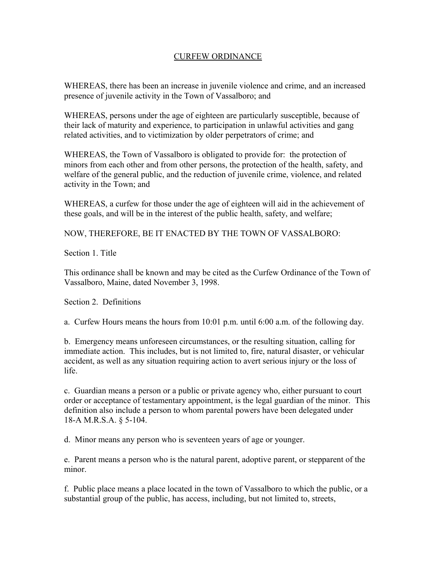## CURFEW ORDINANCE

WHEREAS, there has been an increase in juvenile violence and crime, and an increased presence of juvenile activity in the Town of Vassalboro; and

WHEREAS, persons under the age of eighteen are particularly susceptible, because of their lack of maturity and experience, to participation in unlawful activities and gang related activities, and to victimization by older perpetrators of crime; and

WHEREAS, the Town of Vassalboro is obligated to provide for: the protection of minors from each other and from other persons, the protection of the health, safety, and welfare of the general public, and the reduction of juvenile crime, violence, and related activity in the Town; and

WHEREAS, a curfew for those under the age of eighteen will aid in the achievement of these goals, and will be in the interest of the public health, safety, and welfare;

NOW, THEREFORE, BE IT ENACTED BY THE TOWN OF VASSALBORO:

Section 1. Title

This ordinance shall be known and may be cited as the Curfew Ordinance of the Town of Vassalboro, Maine, dated November 3, 1998.

Section 2. Definitions

a. Curfew Hours means the hours from 10:01 p.m. until 6:00 a.m. of the following day.

b. Emergency means unforeseen circumstances, or the resulting situation, calling for immediate action. This includes, but is not limited to, fire, natural disaster, or vehicular accident, as well as any situation requiring action to avert serious injury or the loss of life.

c. Guardian means a person or a public or private agency who, either pursuant to court order or acceptance of testamentary appointment, is the legal guardian of the minor. This definition also include a person to whom parental powers have been delegated under 18-A M.R.S.A. § 5-104.

d. Minor means any person who is seventeen years of age or younger.

e. Parent means a person who is the natural parent, adoptive parent, or stepparent of the minor.

f. Public place means a place located in the town of Vassalboro to which the public, or a substantial group of the public, has access, including, but not limited to, streets,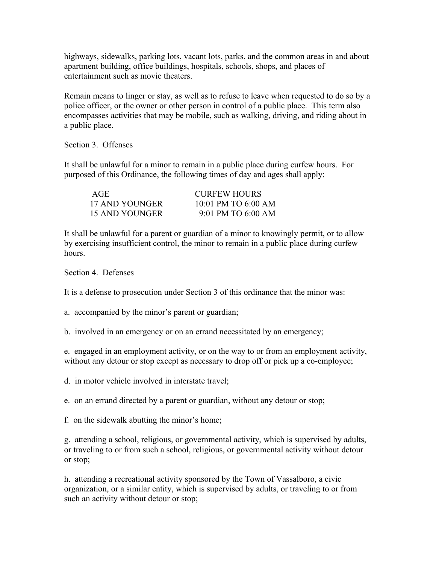highways, sidewalks, parking lots, vacant lots, parks, and the common areas in and about apartment building, office buildings, hospitals, schools, shops, and places of entertainment such as movie theaters.

Remain means to linger or stay, as well as to refuse to leave when requested to do so by a police officer, or the owner or other person in control of a public place. This term also encompasses activities that may be mobile, such as walking, driving, and riding about in a public place.

Section 3. Offenses

It shall be unlawful for a minor to remain in a public place during curfew hours. For purposed of this Ordinance, the following times of day and ages shall apply:

| AGE            | CURFEW HOURS        |
|----------------|---------------------|
| 17 AND YOUNGER | 10.01 PM TO 6.00 AM |
| 15 AND YOUNGER | 9.01 PM TO 6.00 AM  |

It shall be unlawful for a parent or guardian of a minor to knowingly permit, or to allow by exercising insufficient control, the minor to remain in a public place during curfew hours.

Section 4. Defenses

It is a defense to prosecution under Section 3 of this ordinance that the minor was:

a. accompanied by the minor's parent or guardian;

b. involved in an emergency or on an errand necessitated by an emergency;

e. engaged in an employment activity, or on the way to or from an employment activity, without any detour or stop except as necessary to drop off or pick up a co-employee;

d. in motor vehicle involved in interstate travel;

e. on an errand directed by a parent or guardian, without any detour or stop;

f. on the sidewalk abutting the minor's home;

g. attending a school, religious, or governmental activity, which is supervised by adults, or traveling to or from such a school, religious, or governmental activity without detour or stop;

h. attending a recreational activity sponsored by the Town of Vassalboro, a civic organization, or a similar entity, which is supervised by adults, or traveling to or from such an activity without detour or stop;